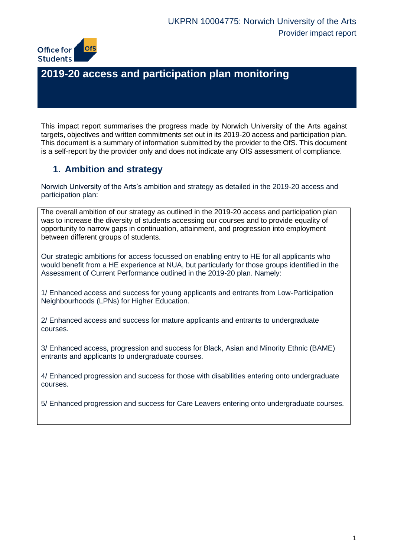

# **2019-20 access and participation plan monitoring**

 This impact report summarises the progress made by Norwich University of the Arts against targets, objectives and written commitments set out in its 2019-20 access and participation plan. This document is a summary of information submitted by the provider to the OfS. This document is a self-report by the provider only and does not indicate any OfS assessment of compliance.

## **1. Ambition and strategy**

 Norwich University of the Arts's ambition and strategy as detailed in the 2019-20 access and participation plan:

 The overall ambition of our strategy as outlined in the 2019-20 access and participation plan was to increase the diversity of students accessing our courses and to provide equality of opportunity to narrow gaps in continuation, attainment, and progression into employment between different groups of students.

 Our strategic ambitions for access focussed on enabling entry to HE for all applicants who would benefit from a HE experience at NUA, but particularly for those groups identified in the Assessment of Current Performance outlined in the 2019-20 plan. Namely:

 1/ Enhanced access and success for young applicants and entrants from Low-Participation Neighbourhoods (LPNs) for Higher Education.

 2/ Enhanced access and success for mature applicants and entrants to undergraduate courses.

 3/ Enhanced access, progression and success for Black, Asian and Minority Ethnic (BAME) entrants and applicants to undergraduate courses.

4/ Enhanced progression and success for those with disabilities entering onto undergraduate courses.

5/ Enhanced progression and success for Care Leavers entering onto undergraduate courses.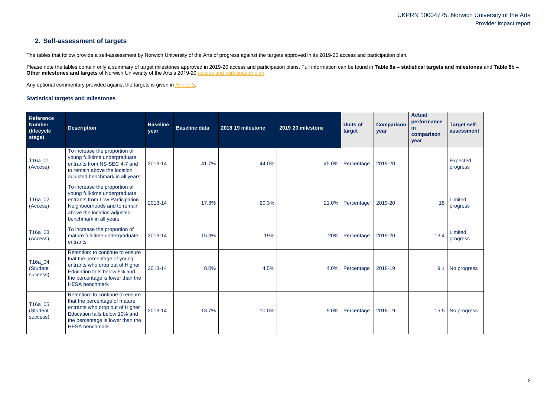## **2. Self-assessment of targets**

The tables that follow provide a self-assessment by Norwich University of the Arts of progress against the targets approved in its 2019-20 access and participation plan.

Please note the tables contain only a summary of target milestones approved in 2019-20 access and participation plans. Full information can be found in Table 8a – statistical targets and milestones and Table 8b – **Other milestones and targets** of Norwich University of the Arts's 2019-20 [access and participation plan.](https://www.officeforstudents.org.uk/advice-and-guidance/the-register/search-for-access-and-participation-plans/#/AccessPlans/)

Any optional commentary provided against the targets is given in [Annex B.](#page-13-0)

### <span id="page-1-0"></span>**Statistical targets and milestones**

| Reference<br>Number<br>(lifecycle<br>stage) | <b>Description</b>                                                                                                                                                                                  | <b>Baseline</b><br>year | <b>Baseline data</b> | 2018 19 milestone | 2019 20 milestone | <b>Units of</b><br>target | <b>Comparison</b><br>year | <b>Actual</b><br>performance<br><u>in</u><br>comparison<br>year | <b>Target self-</b><br>assessment |
|---------------------------------------------|-----------------------------------------------------------------------------------------------------------------------------------------------------------------------------------------------------|-------------------------|----------------------|-------------------|-------------------|---------------------------|---------------------------|-----------------------------------------------------------------|-----------------------------------|
| T16a_01<br>(Access)                         | To increase the proportion of<br>young full-time undergraduate<br>entrants from NS-SEC 4-7 and<br>to remain above the location<br>adjusted benchmark in all years                                   | 2013-14                 | 41.7%                | 44.0%             | 45.0%             | Percentage                | 2019-20                   |                                                                 | Expected<br>progress              |
| T16a_02<br>(Access)                         | To increase the proportion of<br>young full-time undergraduate<br>entrants from Low Participation<br>Neighbourhoods and to remain<br>above the location adjusted<br>benchmark in all years          | 2013-14                 | 17.3%                | 20.3%             | 21.0%             | Percentage                | 2019-20                   | 18                                                              | Limited<br>progress               |
| T16a_03<br>(Access)                         | To increase the proportion of<br>mature full-time undergraduate<br>entrants                                                                                                                         | 2013-14                 | 15.3%                | 19%               | 20%               | Percentage                | 2019-20                   | 13.4                                                            | Limited<br>progress               |
| T16a_04<br>(Student<br>success)             | Retention: to continue to ensure<br>that the percentage of young<br>entrants who drop out of Higher<br>Education falls below 5% and<br>the percentage is lower than the<br><b>HESA</b> benchmark    | 2013-14                 | 8.0%                 | 4.5%              | 4.0%              | Percentage                | 2018-19                   | 9.1                                                             | No progress                       |
| T16a_05<br>(Student<br>success)             | Retention: to continue to ensure<br>that the percentage of mature<br>entrants who drop out of Higher<br>Education falls below 10% and<br>the percentage is lower than the<br><b>HESA</b> benchmark. | 2013-14                 | 13.7%                | 10.0%             | 9.0%              | Percentage                | 2018-19                   |                                                                 | 15.5 No progress                  |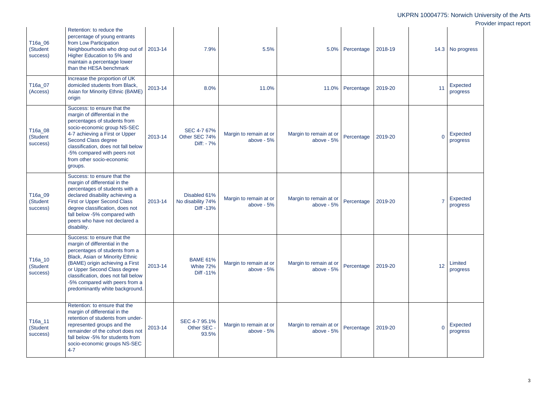| T16a_06<br>(Student<br>success) | Retention: to reduce the<br>percentage of young entrants<br>from Low Participation<br>Neighbourhoods who drop out of<br>Higher Education to 5% and<br>maintain a percentage lower<br>than the HESA benchmark                                                                                                     | 2013-14 | 7.9%                                           | 5.5%                                   | 5.0%                                   | Percentage       | 2018-19 | 14.3     | No progress                 |
|---------------------------------|------------------------------------------------------------------------------------------------------------------------------------------------------------------------------------------------------------------------------------------------------------------------------------------------------------------|---------|------------------------------------------------|----------------------------------------|----------------------------------------|------------------|---------|----------|-----------------------------|
| T16a_07<br>(Access)             | Increase the proportion of UK<br>domiciled students from Black,<br>Asian for Minority Ethnic (BAME)<br>origin                                                                                                                                                                                                    | 2013-14 | 8.0%                                           | 11.0%                                  |                                        | 11.0% Percentage | 2019-20 | 11       | <b>Expected</b><br>progress |
| T16a_08<br>(Student<br>success) | Success: to ensure that the<br>margin of differential in the<br>percentages of students from<br>socio-economic group NS-SEC<br>4-7 achieving a First or Upper<br>Second Class degree<br>classification, does not fall below<br>-5% compared with peers not<br>from other socio-economic<br>groups.               | 2013-14 | SEC 4-7 67%<br>Other SEC 74%<br>Diff: $-7\%$   | Margin to remain at or<br>above $-5%$  | Margin to remain at or<br>above - 5%   | Percentage       | 2019-20 | $\Omega$ | Expected<br>progress        |
| T16a_09<br>(Student<br>success) | Success: to ensure that the<br>margin of differential in the<br>percentages of students with a<br>declared disability achieving a<br><b>First or Upper Second Class</b><br>degree classification, does not<br>fall below -5% compared with<br>peers who have not declared a<br>disability.                       | 2013-14 | Disabled 61%<br>No disability 74%<br>Diff -13% | Margin to remain at or<br>above $-5%$  | Margin to remain at or<br>above $-5%$  | Percentage       | 2019-20 |          | Expected<br>progress        |
| T16a_10<br>(Student<br>success) | Success: to ensure that the<br>margin of differential in the<br>percentages of students from a<br>Black, Asian or Minority Ethnic<br>(BAME) origin achieving a First<br>or Upper Second Class degree<br>classification, does not fall below<br>-5% compared with peers from a<br>predominantly white background. | 2013-14 | <b>BAME 61%</b><br>White 72%<br>Diff -11%      | Margin to remain at or<br>above $-5%$  | Margin to remain at or<br>above - 5%   | Percentage       | 2019-20 | 12       | Limited<br>progress         |
| T16a_11<br>(Student<br>success) | Retention: to ensure that the<br>margin of differential in the<br>retention of students from under-<br>represented groups and the<br>remainder of the cohort does not<br>fall below -5% for students from<br>socio-economic groups NS-SEC<br>$4 - 7$                                                             | 2013-14 | SEC 4-7 95.1%<br>Other SEC -<br>93.5%          | Margin to remain at or<br>above - $5%$ | Margin to remain at or<br>above - $5%$ | Percentage       | 2019-20 | $\Omega$ | <b>Expected</b><br>progress |

| 14.3           | No progress                 |
|----------------|-----------------------------|
| 11             | <b>Expected</b><br>progress |
| $\overline{0}$ | <b>Expected</b><br>progress |
| 7              | <b>Expected</b><br>progress |
| 12             | Limited<br>progress         |
| Ō              | <b>Expected</b><br>progress |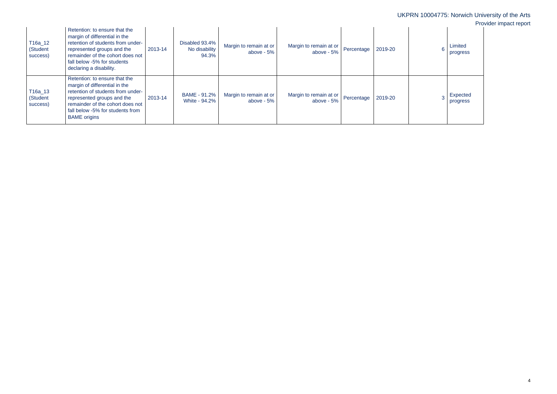|   |                      | 10004775: Norwich University of the Arts<br>Provider impact report |
|---|----------------------|--------------------------------------------------------------------|
| 6 | Limited<br>progress  |                                                                    |
| 3 | Expected<br>progress |                                                                    |

| T16a_12<br>(Student<br>success) | Retention: to ensure that the<br>margin of differential in the<br>retention of students from under-<br>represented groups and the<br>remainder of the cohort does not<br>fall below -5% for students<br>declaring a disability.  | 2013-14 | Disabled 93.4%<br>No disability<br>94.3% | Margin to remain at or<br>above - $5%$ | Margin to remain at or<br>above - 5% | Percentage | 2019-20 | Limited<br>progress  |
|---------------------------------|----------------------------------------------------------------------------------------------------------------------------------------------------------------------------------------------------------------------------------|---------|------------------------------------------|----------------------------------------|--------------------------------------|------------|---------|----------------------|
| T16a_13<br>(Student<br>success) | Retention: to ensure that the<br>margin of differential in the<br>retention of students from under-<br>represented groups and the<br>remainder of the cohort does not<br>fall below -5% for students from<br><b>BAME</b> origins | 2013-14 | BAME - 91.2%<br>White - 94.2%            | Margin to remain at or<br>above $-5%$  | Margin to remain at or<br>above - 5% | Percentage | 2019-20 | Expected<br>progress |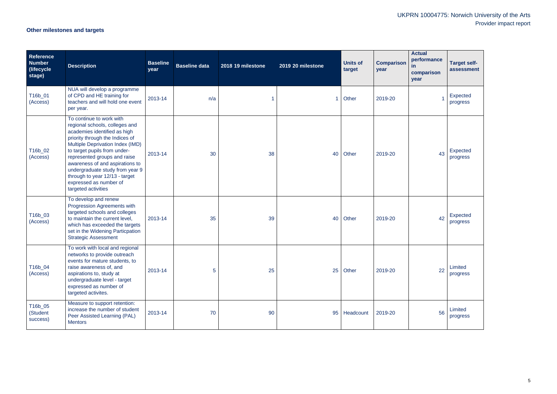# **Other milestones and targets**

| Reference<br><b>Number</b><br>(lifecycle)<br>stage) | <b>Description</b>                                                                                                                                                                                                                                                                                                                                                                         | <b>Baseline</b><br>year | <b>Baseline data</b> | 2018 19 milestone | 2019 20 milestone    | <b>Units of</b><br>target | <b>Comparison</b><br>year | <b>Actual</b><br>performance<br><u>in</u><br>comparison<br>year | <b>Target self-</b><br>assessment |
|-----------------------------------------------------|--------------------------------------------------------------------------------------------------------------------------------------------------------------------------------------------------------------------------------------------------------------------------------------------------------------------------------------------------------------------------------------------|-------------------------|----------------------|-------------------|----------------------|---------------------------|---------------------------|-----------------------------------------------------------------|-----------------------------------|
| T16b_01<br>(Access)                                 | NUA will develop a programme<br>of CPD and HE training for<br>teachers and will hold one event<br>per year.                                                                                                                                                                                                                                                                                | 2013-14                 | n/a                  |                   | $\blacktriangleleft$ | Other                     | 2019-20                   |                                                                 | Expected<br>progress              |
| T16b_02<br>(Access)                                 | To continue to work with<br>regional schools, colleges and<br>academies identified as high<br>priority through the Indices of<br>Multiple Deprivation Index (IMD)<br>to target pupils from under-<br>represented groups and raise<br>awareness of and aspirations to<br>undergraduate study from year 9<br>through to year 12/13 - target<br>expressed as number of<br>targeted activities | 2013-14                 | 30                   | 38                | 40                   | Other                     | 2019-20                   | 43                                                              | Expected<br>progress              |
| T16b_03<br>(Access)                                 | To develop and renew<br>Progression Agreements with<br>targeted schools and colleges<br>to maintain the current level,<br>which has exceeded the targets<br>set in the Widening Particpation<br><b>Strategic Assessment</b>                                                                                                                                                                | 2013-14                 | 35                   | 39                | 40                   | Other                     | 2019-20                   | 42                                                              | Expected<br>progress              |
| T16b_04<br>(Access)                                 | To work with local and regional<br>networks to provide outreach<br>events for mature students, to<br>raise awareness of, and<br>aspirations to, study at<br>undergraduate level - target<br>expressed as number of<br>targeted activites.                                                                                                                                                  | 2013-14                 | $\overline{5}$       | 25                | 25                   | Other                     | 2019-20                   | 22                                                              | Limited<br>progress               |
| T16b_05<br>(Student<br>success)                     | Measure to support retention:<br>increase the number of student<br>Peer Assisted Learning (PAL)<br><b>Mentors</b>                                                                                                                                                                                                                                                                          | 2013-14                 | 70                   | 90                | 95                   | Headcount                 | 2019-20                   | 56                                                              | Limited<br>progress               |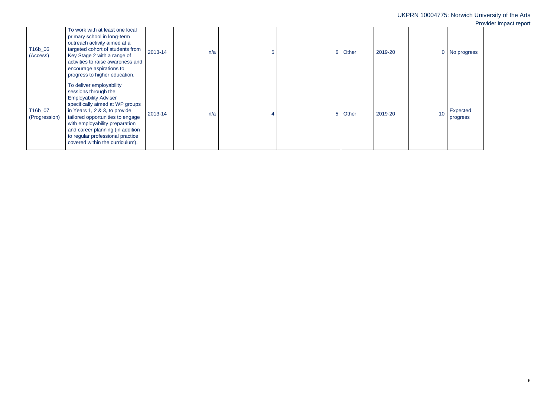To work with at least one local

| T16b_06<br>(Access)      | primary school in long-term<br>outreach activity aimed at a<br>targeted cohort of students from<br>Key Stage 2 with a range of<br>activities to raise awareness and<br>encourage aspirations to<br>progress to higher education.                                                                                                      | 2013-14 | n/a | 5 | 6. | Other | 2019-20 | 0  | No progress          |
|--------------------------|---------------------------------------------------------------------------------------------------------------------------------------------------------------------------------------------------------------------------------------------------------------------------------------------------------------------------------------|---------|-----|---|----|-------|---------|----|----------------------|
| T16b_07<br>(Progression) | To deliver employability<br>sessions through the<br><b>Employability Adviser</b><br>specifically aimed at WP groups<br>in Years 1, 2 & 3, to provide<br>tailored opportunities to engage<br>with employability preparation<br>and career planning (in addition<br>to regular professional practice<br>covered within the curriculum). | 2013-14 | n/a |   |    | Other | 2019-20 | 10 | Expected<br>progress |

| UKPRN 10004775: Norwich University of the Arts<br>Provider impact report |                |       |         |                 |                      |  |  |  |
|--------------------------------------------------------------------------|----------------|-------|---------|-----------------|----------------------|--|--|--|
| 5                                                                        | $6\phantom{1}$ | Other | 2019-20 | $\overline{0}$  | No progress          |  |  |  |
| $\overline{4}$                                                           | 5              | Other | 2019-20 | 10 <sup>°</sup> | Expected<br>progress |  |  |  |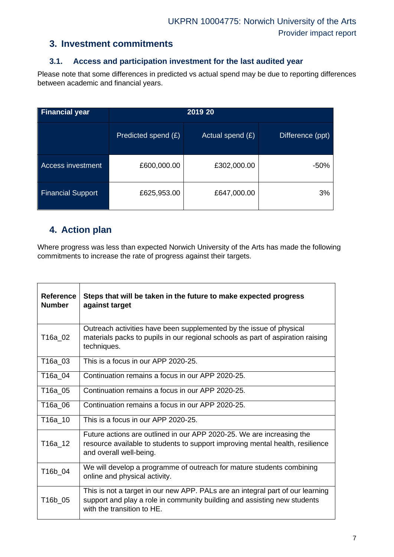### **3. Investment commitments**

### **3.1. Access and participation investment for the last audited year**

 Please note that some differences in predicted vs actual spend may be due to reporting differences between academic and financial years.

| <b>Financial year</b>    |                     | 2019 20          |                  |  |  |  |  |  |
|--------------------------|---------------------|------------------|------------------|--|--|--|--|--|
|                          | Predicted spend (£) | Actual spend (£) | Difference (ppt) |  |  |  |  |  |
| <b>Access investment</b> | £600,000.00         | £302,000.00      | -50%             |  |  |  |  |  |
| <b>Financial Support</b> | £625,953.00         | £647,000.00      | 3%               |  |  |  |  |  |

## **4. Action plan**

 Where progress was less than expected Norwich University of the Arts has made the following commitments to increase the rate of progress against their targets.

| <b>Reference</b><br><b>Number</b> | Steps that will be taken in the future to make expected progress<br>against target                                                                                                       |
|-----------------------------------|------------------------------------------------------------------------------------------------------------------------------------------------------------------------------------------|
| T16a_02                           | Outreach activities have been supplemented by the issue of physical<br>materials packs to pupils in our regional schools as part of aspiration raising<br>techniques.                    |
| T16a_03                           | This is a focus in our APP 2020-25.                                                                                                                                                      |
| T16a_04                           | Continuation remains a focus in our APP 2020-25.                                                                                                                                         |
| T16a_05                           | Continuation remains a focus in our APP 2020-25.                                                                                                                                         |
| T16a_06                           | Continuation remains a focus in our APP 2020-25.                                                                                                                                         |
| T16a 10                           | This is a focus in our APP 2020-25.                                                                                                                                                      |
| T16a_12                           | Future actions are outlined in our APP 2020-25. We are increasing the<br>resource available to students to support improving mental health, resilience<br>and overall well-being.        |
| T16b_04                           | We will develop a programme of outreach for mature students combining<br>online and physical activity.                                                                                   |
| T16b_05                           | This is not a target in our new APP. PALs are an integral part of our learning<br>support and play a role in community building and assisting new students<br>with the transition to HE. |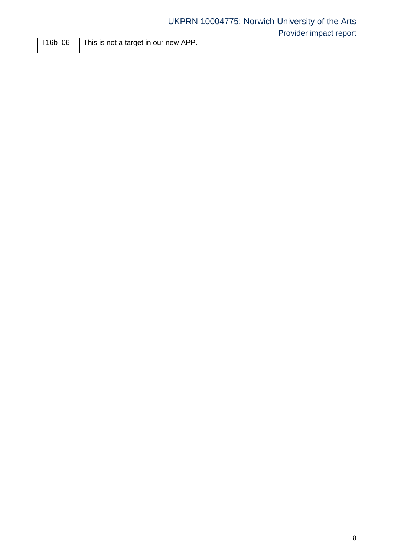$T16b\_06$  | This is not a target in our new APP.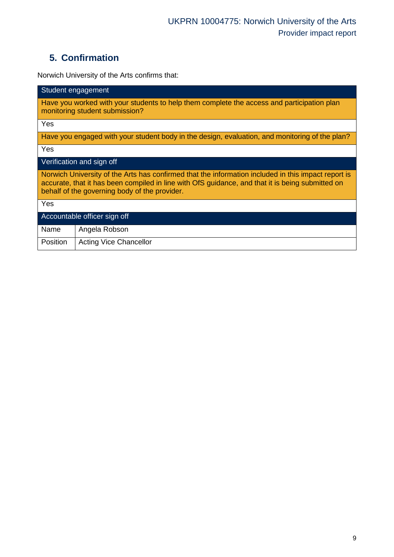# **5. Confirmation**

Norwich University of the Arts confirms that:

| Student engagement                                                                                                                                                                                                                                       |  |  |  |  |  |  |
|----------------------------------------------------------------------------------------------------------------------------------------------------------------------------------------------------------------------------------------------------------|--|--|--|--|--|--|
| Have you worked with your students to help them complete the access and participation plan<br>monitoring student submission?                                                                                                                             |  |  |  |  |  |  |
| Yes                                                                                                                                                                                                                                                      |  |  |  |  |  |  |
| Have you engaged with your student body in the design, evaluation, and monitoring of the plan?                                                                                                                                                           |  |  |  |  |  |  |
| Yes                                                                                                                                                                                                                                                      |  |  |  |  |  |  |
| Verification and sign off                                                                                                                                                                                                                                |  |  |  |  |  |  |
| Norwich University of the Arts has confirmed that the information included in this impact report is<br>accurate, that it has been compiled in line with OfS guidance, and that it is being submitted on<br>behalf of the governing body of the provider. |  |  |  |  |  |  |
| Yes                                                                                                                                                                                                                                                      |  |  |  |  |  |  |
| Accountable officer sign off                                                                                                                                                                                                                             |  |  |  |  |  |  |
| Name<br>Angela Robson                                                                                                                                                                                                                                    |  |  |  |  |  |  |
| Position<br><b>Acting Vice Chancellor</b>                                                                                                                                                                                                                |  |  |  |  |  |  |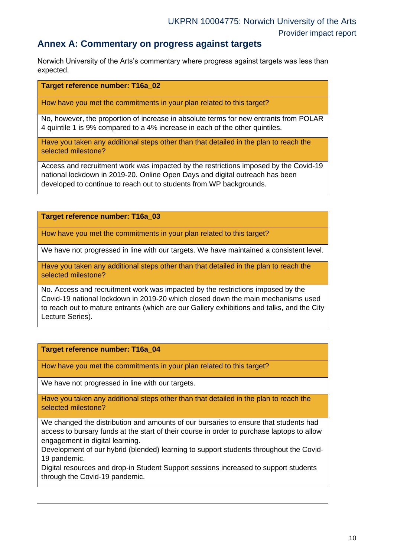### **Annex A: Commentary on progress against targets**

 Norwich University of the Arts's commentary where progress against targets was less than expected.

**Target reference number: T16a\_02** 

How have you met the commitments in your plan related to this target?

 No, however, the proportion of increase in absolute terms for new entrants from POLAR 4 quintile 1 is 9% compared to a 4% increase in each of the other quintiles.

 Have you taken any additional steps other than that detailed in the plan to reach the selected milestone?

 Access and recruitment work was impacted by the restrictions imposed by the Covid-19 national lockdown in 2019-20. Online Open Days and digital outreach has been developed to continue to reach out to students from WP backgrounds.

**Target reference number: T16a\_03** 

How have you met the commitments in your plan related to this target?

We have not progressed in line with our targets. We have maintained a consistent level.

 Have you taken any additional steps other than that detailed in the plan to reach the selected milestone?

 No. Access and recruitment work was impacted by the restrictions imposed by the Covid-19 national lockdown in 2019-20 which closed down the main mechanisms used to reach out to mature entrants (which are our Gallery exhibitions and talks, and the City Lecture Series).

#### **Target reference number: T16a\_04**

How have you met the commitments in your plan related to this target?

We have not progressed in line with our targets.

 Have you taken any additional steps other than that detailed in the plan to reach the selected milestone?

 We changed the distribution and amounts of our bursaries to ensure that students had access to bursary funds at the start of their course in order to purchase laptops to allow engagement in digital learning.

 Development of our hybrid (blended) learning to support students throughout the Covid-19 pandemic.

 Digital resources and drop-in Student Support sessions increased to support students through the Covid-19 pandemic.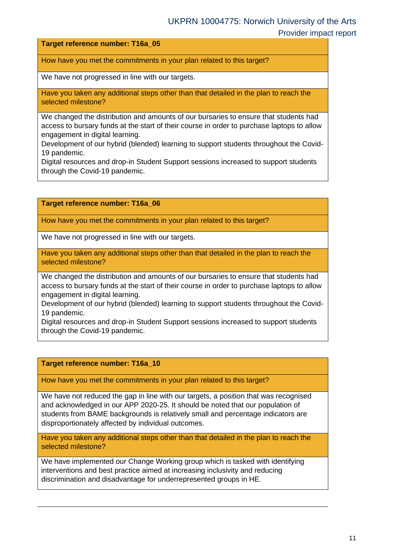#### **Target reference number: T16a\_05**

How have you met the commitments in your plan related to this target?

We have not progressed in line with our targets.

 Have you taken any additional steps other than that detailed in the plan to reach the selected milestone?

 We changed the distribution and amounts of our bursaries to ensure that students had access to bursary funds at the start of their course in order to purchase laptops to allow engagement in digital learning.

 Development of our hybrid (blended) learning to support students throughout the Covid-19 pandemic.

 Digital resources and drop-in Student Support sessions increased to support students through the Covid-19 pandemic.

**Target reference number: T16a\_06** 

How have you met the commitments in your plan related to this target?

We have not progressed in line with our targets.

 Have you taken any additional steps other than that detailed in the plan to reach the selected milestone?

 We changed the distribution and amounts of our bursaries to ensure that students had access to bursary funds at the start of their course in order to purchase laptops to allow engagement in digital learning.

 Development of our hybrid (blended) learning to support students throughout the Covid-19 pandemic.

 Digital resources and drop-in Student Support sessions increased to support students through the Covid-19 pandemic.

#### **Target reference number: T16a\_10**

How have you met the commitments in your plan related to this target?

 We have not reduced the gap in line with our targets, a position that was recognised and acknowledged in our APP 2020-25. It should be noted that our population of students from BAME backgrounds is relatively small and percentage indicators are disproportionately affected by individual outcomes.

 Have you taken any additional steps other than that detailed in the plan to reach the selected milestone?

 We have implemented our Change Working group which is tasked with identifying interventions and best practice aimed at increasing inclusivity and reducing discrimination and disadvantage for underrepresented groups in HE.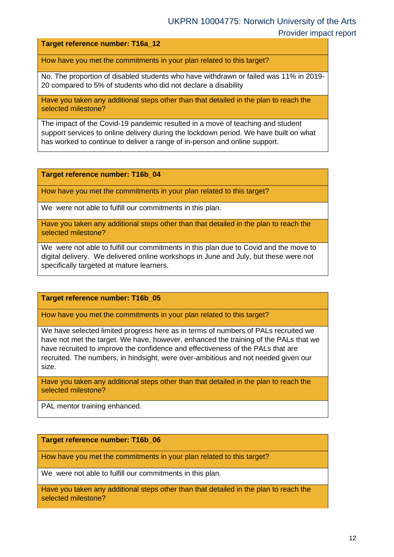**Target reference number: T16a\_12** 

How have you met the commitments in your plan related to this target?

 No. The proportion of disabled students who have withdrawn or failed was 11% in 2019- 20 compared to 5% of students who did not declare a disability

 Have you taken any additional steps other than that detailed in the plan to reach the selected milestone?

 The impact of the Covid-19 pandemic resulted in a move of teaching and student support services to online delivery during the lockdown period. We have built on what has worked to continue to deliver a range of in-person and online support.

**Target reference number: T16b\_04** 

How have you met the commitments in your plan related to this target?

We were not able to fulfill our commitments in this plan.

 Have you taken any additional steps other than that detailed in the plan to reach the selected milestone?

 We were not able to fulfill our commitments in this plan due to Covid and the move to digital delivery. We delivered online workshops in June and July, but these were not specifically targeted at mature learners.

**Target reference number: T16b\_05** 

How have you met the commitments in your plan related to this target?

 We have selected limited progress here as in terms of numbers of PALs recruited we have not met the target. We have, however, enhanced the training of the PALs that we have recruited to improve the confidence and effectiveness of the PALs that are recruited. The numbers, in hindsight, were over-ambitious and not needed given our size.

 Have you taken any additional steps other than that detailed in the plan to reach the selected milestone?

PAL mentor training enhanced.

#### **Target reference number: T16b\_06**

How have you met the commitments in your plan related to this target?

We were not able to fulfill our commitments in this plan.

 Have you taken any additional steps other than that detailed in the plan to reach the selected milestone?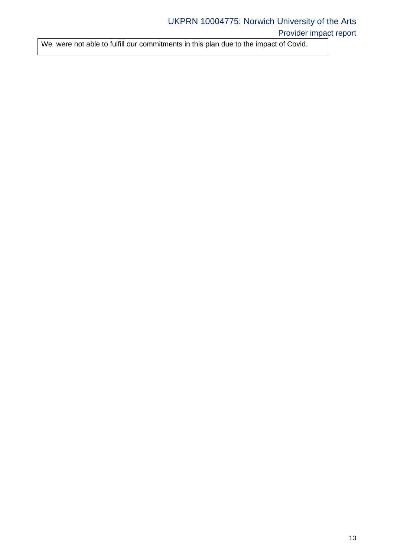We were not able to fulfill our commitments in this plan due to the impact of Covid.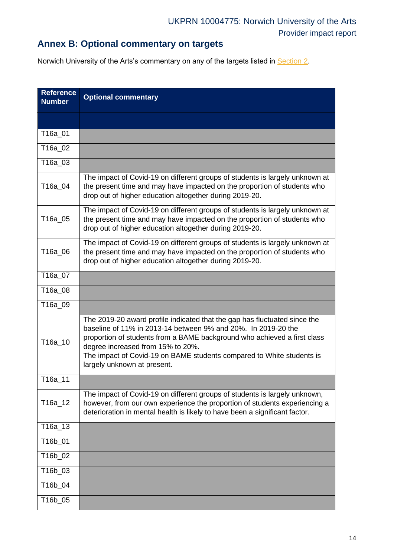# **Annex B: Optional commentary on targets**

Norwich University of the Arts's commentary on any of the targets listed in [Section 2.](#page-1-0)

<span id="page-13-0"></span>

| <b>Reference</b><br><b>Number</b> | <b>Optional commentary</b>                                                                                                                                                                                                                                                                                                                                          |
|-----------------------------------|---------------------------------------------------------------------------------------------------------------------------------------------------------------------------------------------------------------------------------------------------------------------------------------------------------------------------------------------------------------------|
|                                   |                                                                                                                                                                                                                                                                                                                                                                     |
| T16a_01                           |                                                                                                                                                                                                                                                                                                                                                                     |
| T16a_02                           |                                                                                                                                                                                                                                                                                                                                                                     |
| T16a_03                           |                                                                                                                                                                                                                                                                                                                                                                     |
| T16a_04                           | The impact of Covid-19 on different groups of students is largely unknown at<br>the present time and may have impacted on the proportion of students who<br>drop out of higher education altogether during 2019-20.                                                                                                                                                 |
| T16a_05                           | The impact of Covid-19 on different groups of students is largely unknown at<br>the present time and may have impacted on the proportion of students who<br>drop out of higher education altogether during 2019-20.                                                                                                                                                 |
| T16a_06                           | The impact of Covid-19 on different groups of students is largely unknown at<br>the present time and may have impacted on the proportion of students who<br>drop out of higher education altogether during 2019-20.                                                                                                                                                 |
| T16a_07                           |                                                                                                                                                                                                                                                                                                                                                                     |
| T16a_08                           |                                                                                                                                                                                                                                                                                                                                                                     |
| T16a_09                           |                                                                                                                                                                                                                                                                                                                                                                     |
| T16a_10                           | The 2019-20 award profile indicated that the gap has fluctuated since the<br>baseline of 11% in 2013-14 between 9% and 20%. In 2019-20 the<br>proportion of students from a BAME background who achieved a first class<br>degree increased from 15% to 20%.<br>The impact of Covid-19 on BAME students compared to White students is<br>largely unknown at present. |
| T16a_11                           |                                                                                                                                                                                                                                                                                                                                                                     |
| T16a_12                           | The impact of Covid-19 on different groups of students is largely unknown,<br>however, from our own experience the proportion of students experiencing a<br>deterioration in mental health is likely to have been a significant factor.                                                                                                                             |
| T16a_13                           |                                                                                                                                                                                                                                                                                                                                                                     |
| T16b_01                           |                                                                                                                                                                                                                                                                                                                                                                     |
| T16b_02                           |                                                                                                                                                                                                                                                                                                                                                                     |
| T16b_03                           |                                                                                                                                                                                                                                                                                                                                                                     |
| T16b_04                           |                                                                                                                                                                                                                                                                                                                                                                     |
| T16b_05                           |                                                                                                                                                                                                                                                                                                                                                                     |